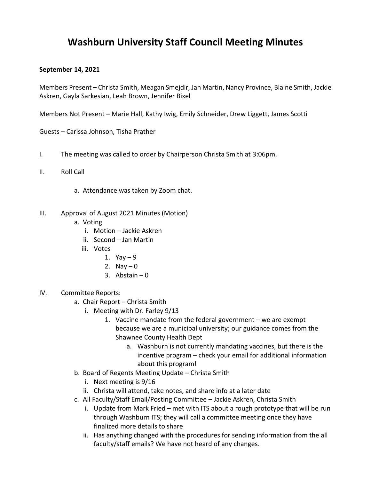## **Washburn University Staff Council Meeting Minutes**

## **September 14, 2021**

Members Present – Christa Smith, Meagan Smejdir, Jan Martin, Nancy Province, Blaine Smith, Jackie Askren, Gayla Sarkesian, Leah Brown, Jennifer Bixel

Members Not Present – Marie Hall, Kathy Iwig, Emily Schneider, Drew Liggett, James Scotti

Guests – Carissa Johnson, Tisha Prather

- I. The meeting was called to order by Chairperson Christa Smith at 3:06pm.
- II. Roll Call
	- a. Attendance was taken by Zoom chat.
- III. Approval of August 2021 Minutes (Motion)
	- a. Voting
		- i. Motion Jackie Askren
		- ii. Second Jan Martin
		- iii. Votes
			- 1. Yay  $-9$
			- 2. Nay  $-0$
			- 3. Abstain  $-0$
- IV. Committee Reports:
	- a. Chair Report Christa Smith
		- i. Meeting with Dr. Farley 9/13
			- 1. Vaccine mandate from the federal government we are exempt because we are a municipal university; our guidance comes from the Shawnee County Health Dept
				- a. Washburn is not currently mandating vaccines, but there is the incentive program – check your email for additional information about this program!
	- b. Board of Regents Meeting Update Christa Smith
		- i. Next meeting is 9/16
		- ii. Christa will attend, take notes, and share info at a later date
	- c. All Faculty/Staff Email/Posting Committee Jackie Askren, Christa Smith
		- i. Update from Mark Fried met with ITS about a rough prototype that will be run through Washburn ITS; they will call a committee meeting once they have finalized more details to share
		- ii. Has anything changed with the procedures for sending information from the all faculty/staff emails? We have not heard of any changes.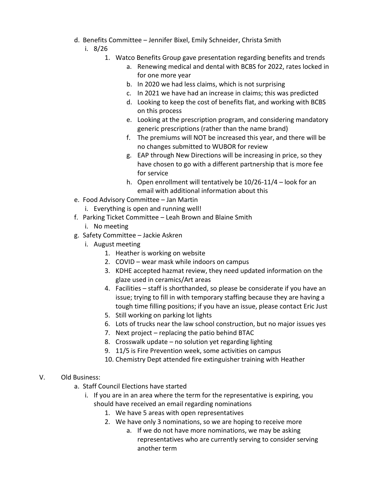- d. Benefits Committee Jennifer Bixel, Emily Schneider, Christa Smith
	- i. 8/26
		- 1. Watco Benefits Group gave presentation regarding benefits and trends
			- a. Renewing medical and dental with BCBS for 2022, rates locked in for one more year
			- b. In 2020 we had less claims, which is not surprising
			- c. In 2021 we have had an increase in claims; this was predicted
			- d. Looking to keep the cost of benefits flat, and working with BCBS on this process
			- e. Looking at the prescription program, and considering mandatory generic prescriptions (rather than the name brand)
			- f. The premiums will NOT be increased this year, and there will be no changes submitted to WUBOR for review
			- g. EAP through New Directions will be increasing in price, so they have chosen to go with a different partnership that is more fee for service
			- h. Open enrollment will tentatively be 10/26-11/4 look for an email with additional information about this
- e. Food Advisory Committee Jan Martin

i. Everything is open and running well!

- f. Parking Ticket Committee Leah Brown and Blaine Smith
	- i. No meeting
- g. Safety Committee Jackie Askren
	- i. August meeting
		- 1. Heather is working on website
		- 2. COVID wear mask while indoors on campus
		- 3. KDHE accepted hazmat review, they need updated information on the glaze used in ceramics/Art areas
		- 4. Facilities staff is shorthanded, so please be considerate if you have an issue; trying to fill in with temporary staffing because they are having a tough time filling positions; if you have an issue, please contact Eric Just
		- 5. Still working on parking lot lights
		- 6. Lots of trucks near the law school construction, but no major issues yes
		- 7. Next project replacing the patio behind BTAC
		- 8. Crosswalk update no solution yet regarding lighting
		- 9. 11/5 is Fire Prevention week, some activities on campus
		- 10. Chemistry Dept attended fire extinguisher training with Heather

## V. Old Business:

- a. Staff Council Elections have started
	- i. If you are in an area where the term for the representative is expiring, you should have received an email regarding nominations
		- 1. We have 5 areas with open representatives
		- 2. We have only 3 nominations, so we are hoping to receive more
			- a. If we do not have more nominations, we may be asking representatives who are currently serving to consider serving another term